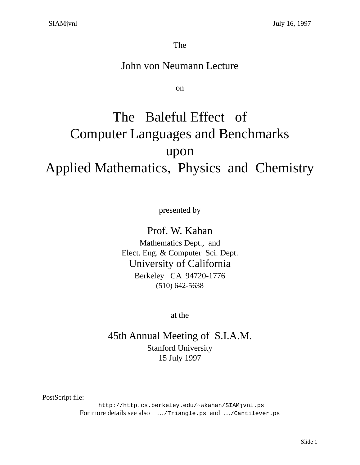The

### John von Neumann Lecture

on

# The Baleful Effect of Computer Languages and Benchmarks upon Applied Mathematics, Physics and Chemistry

presented by

Prof. W. Kahan Mathematics Dept., and

Elect. Eng. & Computer Sci. Dept. University of California Berkeley CA 94720-1776 (510) 642-5638

at the

45th Annual Meeting of S.I.A.M. Stanford University 15 July 1997

PostScript file:

 http://http.cs.berkeley.edu/~wkahan/SIAMjvnl.ps For more details see also …/Triangle.ps and …/Cantilever.ps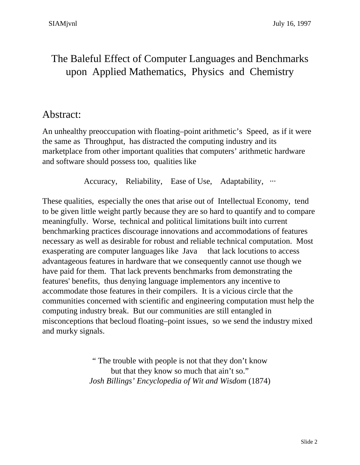# The Baleful Effect of Computer Languages and Benchmarks upon Applied Mathematics, Physics and Chemistry

### Abstract:

An unhealthy preoccupation with floating–point arithmetic's Speed, as if it were the same as Throughput, has distracted the computing industry and its marketplace from other important qualities that computers' arithmetic hardware and software should possess too, qualities like

Accuracy, Reliability, Ease of Use, Adaptability, ...

These qualities, especially the ones that arise out of Intellectual Economy, tend to be given little weight partly because they are so hard to quantify and to compare meaningfully. Worse, technical and political limitations built into current benchmarking practices discourage innovations and accommodations of features necessary as well as desirable for robust and reliable technical computation. Most exasperating are computer languages like Java<sup>®</sup> that lack locutions to access advantageous features in hardware that we consequently cannot use though we have paid for them. That lack prevents benchmarks from demonstrating the features' benefits, thus denying language implementors any incentive to accommodate those features in their compilers. It is a vicious circle that the communities concerned with scientific and engineering computation must help the computing industry break. But our communities are still entangled in misconceptions that becloud floating–point issues, so we send the industry mixed and murky signals.

> " The trouble with people is not that they don't know but that they know so much that ain't so." *Josh Billings' Encyclopedia of Wit and Wisdom* (1874)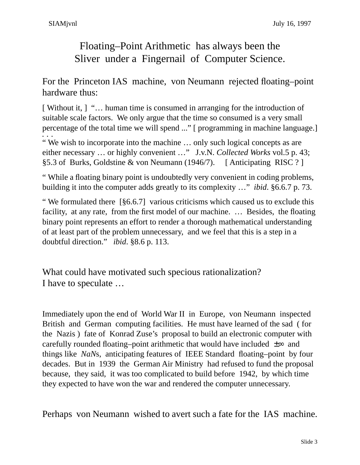# Floating–Point Arithmetic has always been the Sliver under a Fingernail of Computer Science.

For the Princeton IAS machine, von Neumann rejected floating–point hardware thus:

[ Without it, ] "… human time is consumed in arranging for the introduction of suitable scale factors. We only argue that the time so consumed is a very small percentage of the total time we will spend ..." [ programming in machine language.] ...<br>"We wish to incorporate into the machine ... only such logical concepts as are either necessary … or highly convenient …" J.v.N. *Collected Works* vol.5 p. 43; §5.3 of Burks, Goldstine & von Neumann (1946/7). [ Anticipating RISC ? ]

" While a floating binary point is undoubtedly very convenient in coding problems, building it into the computer adds greatly to its complexity …" *ibid*. §6.6.7 p. 73.

" We formulated there [§6.6.7] various criticisms which caused us to exclude this facility, at any rate, from the first model of our machine. … Besides, the floating binary point represents an effort to render a thorough mathematical understanding of at least part of the problem unnecessary, and we feel that this is a step in a doubtful direction." *ibid*. §8.6 p. 113.

What could have motivated such specious rationalization? I have to speculate …

Immediately upon the end of World War II in Europe, von Neumann inspected British and German computing facilities. He must have learned of the sad ( for the Nazis ) fate of Konrad Zuse's proposal to build an electronic computer with carefully rounded floating–point arithmetic that would have included  $\pm \infty$  and things like *NaN*s, anticipating features of IEEE Standard floating–point by four decades. But in 1939 the German Air Ministry had refused to fund the proposal because, they said, it was too complicated to build before 1942, by which time they expected to have won the war and rendered the computer unnecessary.

Perhaps von Neumann wished to avert such a fate for the IAS machine.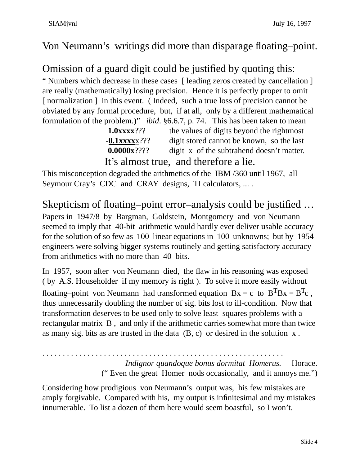### Von Neumann's writings did more than disparage floating–point.

## Omission of a guard digit could be justified by quoting this:

" Numbers which decrease in these cases [ leading zeros created by cancellation ] are really (mathematically) losing precision. Hence it is perfectly proper to omit [ normalization ] in this event. (Indeed, such a true loss of precision cannot be obviated by any formal procedure, but, if at all, only by a different mathematical formulation of the problem.)" *ibid*. §6.6.7, p. 74. This has been taken to mean

| $1.0$ xxx $3$ ???  | the values of digits beyond the rightmost |
|--------------------|-------------------------------------------|
| $-0.1$ XXXX $2$ ?? | digit stored cannot be known, so the last |
| $0.0000x$ ????     | digit x of the subtrahend doesn't matter. |
|                    | It's almost true, and therefore a lie.    |

This misconception degraded the arithmetics of the IBM /360 until 1967, all Seymour Cray's CDC and CRAY designs, TI calculators, ....

Skepticism of floating–point error–analysis could be justified … Papers in 1947/8 by Bargman, Goldstein, Montgomery and von Neumann seemed to imply that 40-bit arithmetic would hardly ever deliver usable accuracy for the solution of so few as 100 linear equations in 100 unknowns; but by 1954 engineers were solving bigger systems routinely and getting satisfactory accuracy from arithmetics with no more than 40 bits.

In 1957, soon after von Neumann died, the flaw in his reasoning was exposed ( by A.S. Householder if my memory is right ). To solve it more easily without floating–point von Neumann had transformed equation  $Bx = c$  to  $B^{T}Bx = B^{T}c$ , thus unnecessarily doubling the number of sig. bits lost to ill-condition. Now that transformation deserves to be used only to solve least–squares problems with a rectangular matrix B , and only if the arithmetic carries somewhat more than twice as many sig. bits as are trusted in the data (B, c) or desired in the solution x .

. . . . . . . . . . . . . . . . . . . . . . . . . . . . . . . . . . . . . . . . . . . . . . . . . . . . . . . . . . . *Indignor quandoque bonus dormitat Homerus.* Horace. (" Even the great Homer nods occasionally, and it annoys me.")

Considering how prodigious von Neumann's output was, his few mistakes are amply forgivable. Compared with his, my output is infinitesimal and my mistakes innumerable. To list a dozen of them here would seem boastful, so I won't.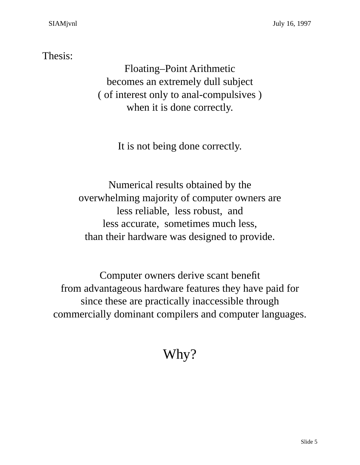### Thesis:

Floating–Point Arithmetic becomes an extremely dull subject ( of interest only to anal-compulsives ) when it is done correctly.

It is not being done correctly.

Numerical results obtained by the overwhelming majority of computer owners are less reliable, less robust, and less accurate, sometimes much less, than their hardware was designed to provide.

Computer owners derive scant benefit from advantageous hardware features they have paid for since these are practically inaccessible through commercially dominant compilers and computer languages.

# Why?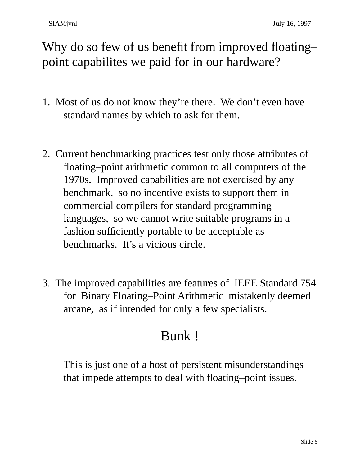Why do so few of us benefit from improved floatingpoint capabilites we paid for in our hardware?

- 1. Most of us do not know they're there. We don't even have standard names by which to ask for them.
- 2. Current benchmarking practices test only those attributes of floating–point arithmetic common to all computers of the 1970s. Improved capabilities are not exercised by any benchmark, so no incentive exists to support them in commercial compilers for standard programming languages, so we cannot write suitable programs in a fashion sufficiently portable to be acceptable as benchmarks. It's a vicious circle.
- 3. The improved capabilities are features of IEEE Standard 754 for Binary Floating–Point Arithmetic mistakenly deemed arcane, as if intended for only a few specialists.

# Bunk !

This is just one of a host of persistent misunderstandings that impede attempts to deal with floating–point issues.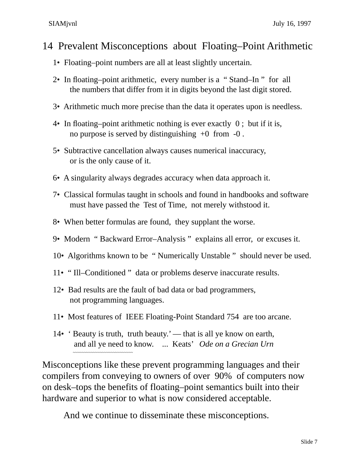### 14 Prevalent Misconceptions about Floating–Point Arithmetic

- 1• Floating–point numbers are all at least slightly uncertain.
- 2• In floating–point arithmetic, every number is a " Stand–In " for all the numbers that differ from it in digits beyond the last digit stored.
- 3• Arithmetic much more precise than the data it operates upon is needless.
- 4• In floating–point arithmetic nothing is ever exactly 0 ; but if it is, no purpose is served by distinguishing  $+0$  from  $-0$ .
- 5• Subtractive cancellation always causes numerical inaccuracy, or is the only cause of it.
- 6• A singularity always degrades accuracy when data approach it.
- 7• Classical formulas taught in schools and found in handbooks and software must have passed the Test of Time, not merely withstood it.
- 8• When better formulas are found, they supplant the worse.
- 9• Modern " Backward Error–Analysis " explains all error, or excuses it.
- 10• Algorithms known to be " Numerically Unstable " should never be used.
- 11• " Ill–Conditioned " data or problems deserve inaccurate results.
- 12• Bad results are the fault of bad data or bad programmers, not programming languages.
- 11• Most features of IEEE Floating-Point Standard 754 are too arcane.
- 14• ' Beauty is truth, truth beauty.' that is all ye know on earth, and all ye need to know. ... Keats' *Ode on a Grecian Urn*

Misconceptions like these prevent programming languages and their compilers from conveying to owners of over 90% of computers now on desk–tops the benefits of floating–point semantics built into their hardware and superior to what is now considered acceptable.

And we continue to disseminate these misconceptions.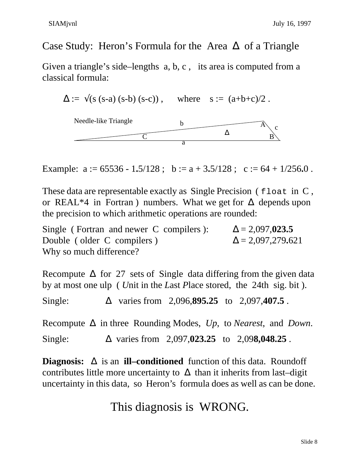### Case Study: Heron's Formula for the Area ∆ of a Triangle

Given a triangle's side–lengths a, b, c , its area is computed from a classical formula:

 $\Delta := \sqrt{(s (s-a) (s-b) (s-c))}$ , where  $s := (a+b+c)/2$ .



Example:  $a := 65536 - 1.5/128$ ;  $b := a + 3.5/128$ ;  $c := 64 + 1/256.0$ .

These data are representable exactly as Single Precision ( $f$ loat in C, or REAL\*4 in Fortran) numbers. What we get for  $\Delta$  depends upon the precision to which arithmetic operations are rounded:

Single ( Fortran and newer C compilers ):  $\Delta = 2,097,023.5$ Double ( older C compilers )  $\Delta = 2,097,279.621$ Why so much difference?

Recompute  $\Delta$  for 27 sets of Single data differing from the given data by at most one ulp ( *U*nit in the *L*ast *P*lace stored, the 24th sig. bit ). Single: ∆ varies from 2,096,**895.25** to 2,097,**407.5** .

Recompute ∆ in three Rounding Modes, *Up*, to *Nearest*, and *Down*. Single: ∆ varies from 2,097,**023.25** to 2,09**8,048.25** .

**Diagnosis:** ∆ is an **ill–conditioned** function of this data. Roundoff contributes little more uncertainty to  $\Delta$  than it inherits from last–digit uncertainty in this data, so Heron's formula does as well as can be done.

# This diagnosis is WRONG.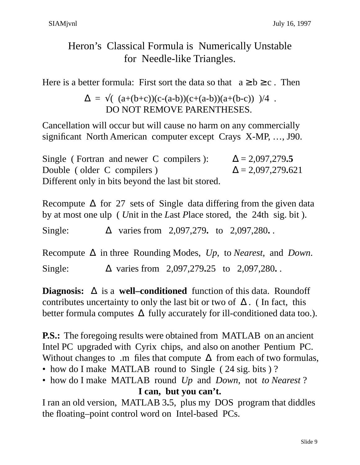# Heron's Classical Formula is Numerically Unstable for Needle-like Triangles.

Here is a better formula: First sort the data so that  $a \ge b \ge c$ . Then

$$
\Delta = \sqrt{(a+(b+c))(c-(a-b))(c+(a-b))(a+(b-c))}
$$
)/4. DO NOT REMOVE PARENTHESES.

Cancellation will occur but will cause no harm on any commercially significant North American computer except Crays X-MP, …, J90.

Single ( Fortran and newer C compilers ):  $\Delta = 2,097,279.5$ Double ( older C compilers )  $\Delta = 2,097,279.621$ Different only in bits beyond the last bit stored.

|         |  |                                               | Recompute $\Delta$ for 27 sets of Single data differing from the given data            |
|---------|--|-----------------------------------------------|----------------------------------------------------------------------------------------|
|         |  |                                               | by at most one ulp ( <i>Unit</i> in the <i>Last Place stored</i> , the 24th sig. bit). |
| Single: |  | $\Delta$ varies from 2,097,279. to 2,097,280. |                                                                                        |

Recompute ∆ in three Rounding Modes, *Up*, to *Nearest*, and *Down*. Single: ∆ varies from 2,097,279**.**25 to 2,097,280**.** .

**Diagnosis:** ∆ is a **well–conditioned** function of this data. Roundoff contributes uncertainty to only the last bit or two of  $\Delta$ . (In fact, this better formula computes  $\Delta$  fully accurately for ill-conditioned data too.).

**P.S.:** The foregoing results were obtained from MATLAB on an ancient Intel PC upgraded with Cyrix chips, and also on another Pentium PC. Without changes to .m files that compute  $\Delta$  from each of two formulas,

- how do I make MATLAB round to Single (24 sig. bits)?
- how do I make MATLAB round *Up* and *Down*, not *to Nearest* ? **I can, but you can't.**

I ran an old version, MATLAB 3**.**5, plus my DOS program that diddles the floating–point control word on Intel-based PCs.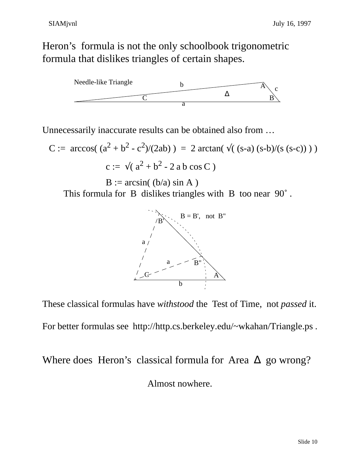Heron's formula is not the only schoolbook trigonometric formula that dislikes triangles of certain shapes.



Unnecessarily inaccurate results can be obtained also from …

C := arccos(
$$
(a^2 + b^2 - c^2)/(2ab)
$$
) = 2 arctan( $\sqrt{(s-a)(s-b)/(s(s-c))}$ )  
c :=  $\sqrt{(a^2 + b^2 - 2a b \cos C)}$ 

 $B := \arcsin((b/a) \sin A)$ This formula for B dislikes triangles with B too near 90˚ .



These classical formulas have *withstood* the Test of Time, not *passed* it.

For better formulas see http://http.cs.berkeley.edu/~wkahan/Triangle.ps .

Where does Heron's classical formula for Area  $\Delta$  go wrong? Almost nowhere.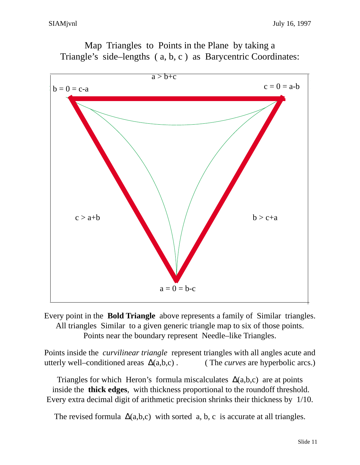

Map Triangles to Points in the Plane by taking a Triangle's side–lengths ( a, b, c ) as Barycentric Coordinates:

Every point in the **Bold Triangle** above represents a family of Similar triangles. All triangles Similar to a given generic triangle map to six of those points. Points near the boundary represent Needle–like Triangles.

Points inside the *curvilinear triangle* represent triangles with all angles acute and utterly well–conditioned areas ∆(a,b,c) . ( The *curves* are hyperbolic arcs.)

Triangles for which Heron's formula miscalculates  $\Delta(a,b,c)$  are at points inside the **thick edges**, with thickness proportional to the roundoff threshold. Every extra decimal digit of arithmetic precision shrinks their thickness by 1/10.

The revised formula  $\Delta(a,b,c)$  with sorted a, b, c is accurate at all triangles.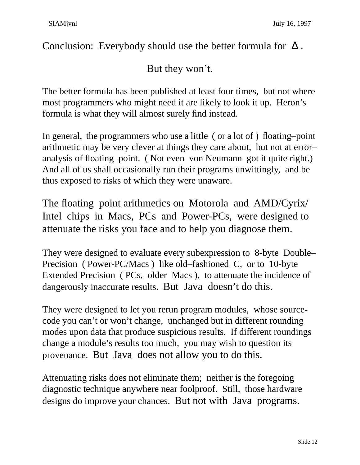Conclusion: Everybody should use the better formula for  $\Delta$ .

But they won't.

The better formula has been published at least four times, but not where most programmers who might need it are likely to look it up. Heron's formula is what they will almost surely find instead.

In general, the programmers who use a little ( or a lot of ) floating–point arithmetic may be very clever at things they care about, but not at error– analysis of floating–point. ( Not even von Neumann got it quite right.) And all of us shall occasionally run their programs unwittingly, and be thus exposed to risks of which they were unaware.

The floating–point arithmetics on Motorola and AMD/Cyrix/ Intel chips in Macs, PCs and Power-PCs, were designed to attenuate the risks you face and to help you diagnose them.

They were designed to evaluate every subexpression to 8-byte Double– Precision ( Power-PC/Macs ) like old–fashioned C, or to 10-byte Extended Precision ( PCs, older Macs ), to attenuate the incidence of dangerously inaccurate results. But Java doesn't do this.

They were designed to let you rerun program modules, whose sourcecode you can't or won't change, unchanged but in different rounding modes upon data that produce suspicious results. If different roundings change a module's results too much, you may wish to question its provenance. But Java does not allow you to do this.

Attenuating risks does not eliminate them; neither is the foregoing diagnostic technique anywhere near foolproof. Still, those hardware designs do improve your chances. But not with Java programs.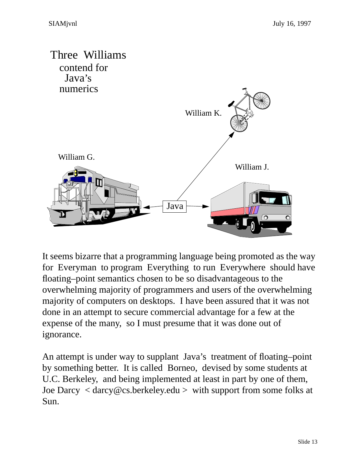

It seems bizarre that a programming language being promoted as the way for Everyman to program Everything to run Everywhere should have floating–point semantics chosen to be so disadvantageous to the overwhelming majority of programmers and users of the overwhelming majority of computers on desktops. I have been assured that it was not done in an attempt to secure commercial advantage for a few at the expense of the many, so I must presume that it was done out of ignorance.

An attempt is under way to supplant Java's treatment of floating–point by something better. It is called Borneo, devised by some students at U.C. Berkeley, and being implemented at least in part by one of them, Joe Darcy < darcy@cs.berkeley.edu > with support from some folks at Sun.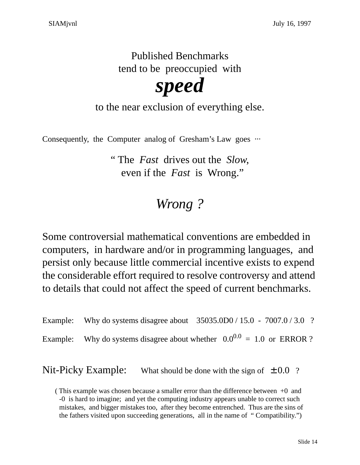Published Benchmarks tend to be preoccupied with

*speed*

to the near exclusion of everything else.

Consequently, the Computer analog of Gresham's Law goes  $\cdots$ 

" The *Fast* drives out the *Slow*, even if the *Fast* is Wrong."

# *Wrong ?*

Some controversial mathematical conventions are embedded in computers, in hardware and/or in programming languages, and persist only because little commercial incentive exists to expend the considerable effort required to resolve controversy and attend to details that could not affect the speed of current benchmarks.

Example: Why do systems disagree about 35035.0D0 / 15.0 - 7007.0 / 3.0 ? Example: Why do systems disagree about whether  $0.0^{0.0} = 1.0$  or ERROR ?

Nit-Picky Example: What should be done with the sign of  $\pm 0.0$  ?

<sup>(</sup> This example was chosen because a smaller error than the difference between +0 and -0 is hard to imagine; and yet the computing industry appears unable to correct such mistakes, and bigger mistakes too, after they become entrenched. Thus are the sins of the fathers visited upon succeeding generations, all in the name of " Compatibility.")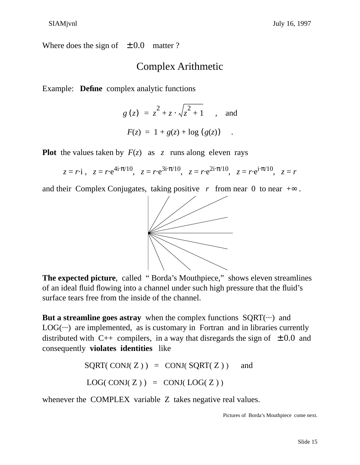Where does the sign of  $\pm 0.0$  matter ?

### Complex Arithmetic

Example: **Define** complex analytic functions

$$
g(z) = z^2 + z \cdot \sqrt{z^2 + 1}
$$
, and  
 $F(z) = 1 + g(z) + \log (g(z))$ .

**Plot** the values taken by  $F(z)$  as z runs along eleven rays

$$
z = r \cdot i
$$
,  $z = r \cdot e^{4i \cdot \pi/10}$ ,  $z = r \cdot e^{3i \cdot \pi/10}$ ,  $z = r \cdot e^{2i \cdot \pi/10}$ ,  $z = r \cdot e^{i \cdot \pi/10}$ ,  $z = r$ 

and their Complex Conjugates, taking positive *r* from near 0 to near  $+\infty$ .



**The expected picture**, called " Borda's Mouthpiece," shows eleven streamlines of an ideal fluid flowing into a channel under such high pressure that the fluid's surface tears free from the inside of the channel.

**But a streamline goes astray** when the complex functions  $SQRT(\cdots)$  and  $LOG(\cdots)$  are implemented, as is customary in Fortran and in libraries currently distributed with C++ compilers, in a way that disregards the sign of  $\pm 0.0$  and consequently **violates identities** like

$$
SQRT(CONJ(Z)) = CONJ(SQRT(Z)) \text{ and}
$$
  

$$
LOG(CONJ(Z)) = CONJ(LOG(Z))
$$

whenever the COMPLEX variable Z takes negative real values.

Pictures of Borda's Mouthpiece come next.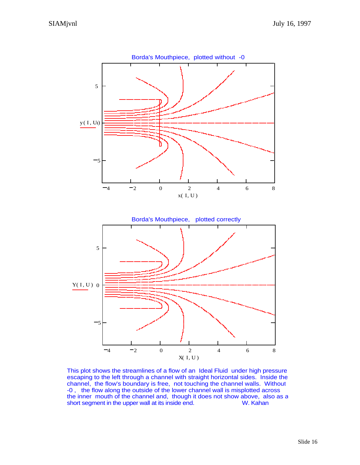

This plot shows the streamlines of a flow of an Ideal Fluid under high pressure escaping to the left through a channel with straight horizontal sides. Inside the channel, the flow's boundary is free, not touching the channel walls. Without -0 , the flow along the outside of the lower channel wall is misplotted across the inner mouth of the channel and, though it does not show above, also as a short segment in the upper wall at its inside end. W. Kahan short segment in the upper wall at its inside end.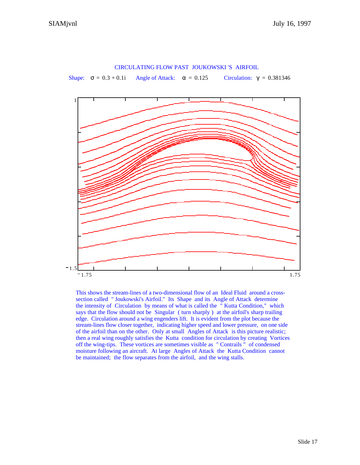

CIRCULATING FLOW PAST JOUKOWSKI 'S AIRFOIL

This shows the stream-lines of a two-dimensional flow of an Ideal Fluid around a crosssection called " Joukowski's Airfoil." Its Shape and its Angle of Attack determine the intensity of Circulation by means of what is called the " Kutta Condition," which says that the flow should not be Singular ( turn sharply ) at the airfoil's sharp trailing edge. Circulation around a wing engenders lift. It is evident from the plot because the stream-lines flow closer together, indicating higher speed and lower pressure, on one side of the airfoil than on the other. Only at small Angles of Attack is this picture realistic; then a real wing roughly satisfies the Kutta condition for circulation by creating Vortices off the wing-tips. These vortices are sometimes visible as " Contrails " of condensed moisture following an aircraft. At large Angles of Attack the Kutta Condition cannot be maintained; the flow separates from the airfoil, and the wing stalls.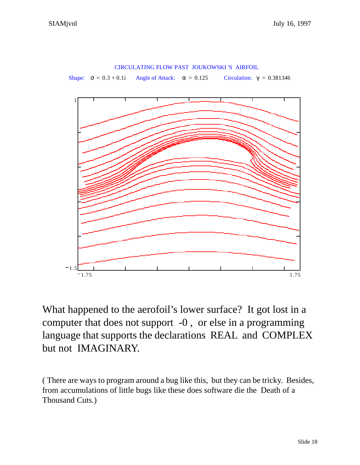

What happened to the aerofoil's lower surface? It got lost in a computer that does not support -0 , or else in a programming language that supports the declarations REAL and COMPLEX but not IMAGINARY.

( There are ways to program around a bug like this, but they can be tricky. Besides, from accumulations of little bugs like these does software die the Death of a Thousand Cuts.)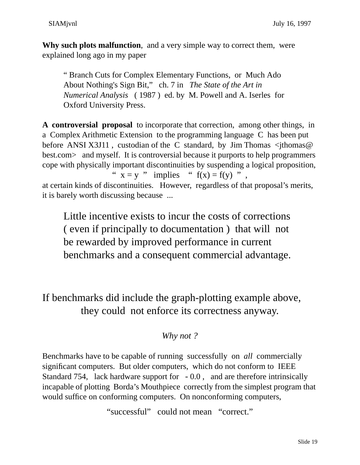**Why such plots malfunction**, and a very simple way to correct them, were explained long ago in my paper

" Branch Cuts for Complex Elementary Functions, or Much Ado About Nothing's Sign Bit," ch. 7 in *The State of the Art in Numerical Analysis* ( 1987 ) ed. by M. Powell and A. Iserles for Oxford University Press.

**A controversial proposal** to incorporate that correction, among other things, in a Complex Arithmetic Extension to the programming language C has been put before ANSI X3J11, custodian of the C standard, by Jim Thomas  $\leq$ jthomas @ best.com and myself. It is controversial because it purports to help programmers cope with physically important discontinuities by suspending a logical proposition, "  $x = y$  " implies "  $f(x) = f(y)$ ", at certain kinds of discontinuities. However, regardless of that proposal's merits, it is barely worth discussing because ...

Little incentive exists to incur the costs of corrections ( even if principally to documentation ) that will not be rewarded by improved performance in current benchmarks and a consequent commercial advantage.

If benchmarks did include the graph-plotting example above, they could not enforce its correctness anyway.

### *Why not ?*

Benchmarks have to be capable of running successfully on *all* commercially significant computers. But older computers, which do not conform to IEEE Standard 754, lack hardware support for - 0.0 , and are therefore intrinsically incapable of plotting Borda's Mouthpiece correctly from the simplest program that would suffice on conforming computers. On nonconforming computers,

"successful" could not mean "correct."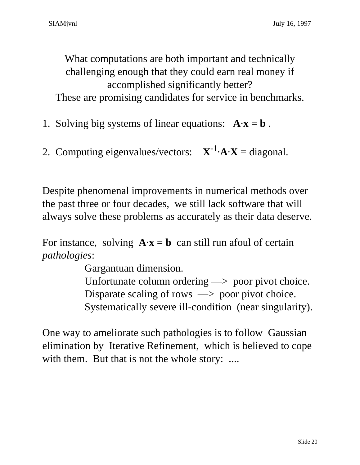What computations are both important and technically challenging enough that they could earn real money if accomplished significantly better? These are promising candidates for service in benchmarks.

1. Solving big systems of linear equations:  $A \cdot x = b$ .

2. Computing eigenvalues/vectors:  $X^{-1} \cdot A \cdot X = \text{diagonal}$ .

Despite phenomenal improvements in numerical methods over the past three or four decades, we still lack software that will always solve these problems as accurately as their data deserve.

For instance, solving  $\mathbf{A} \cdot \mathbf{x} = \mathbf{b}$  can still run afoul of certain *pathologies*:

Gargantuan dimension.

Unfortunate column ordering —> poor pivot choice. Disparate scaling of rows  $\implies$  poor pivot choice. Systematically severe ill-condition (near singularity).

One way to ameliorate such pathologies is to follow Gaussian elimination by Iterative Refinement, which is believed to cope with them. But that is not the whole story: ....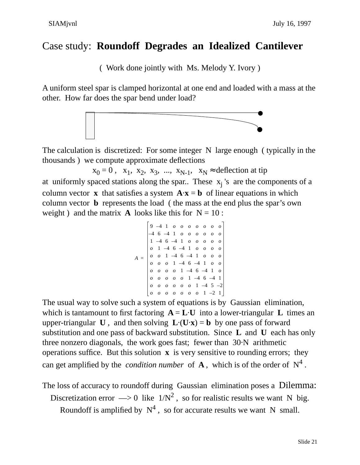## Case study: **Roundoff Degrades an Idealized Cantilever**

( Work done jointly with Ms. Melody Y. Ivory )

A uniform steel spar is clamped horizontal at one end and loaded with a mass at the other. How far does the spar bend under load?



The calculation is discretized: For some integer N large enough ( typically in the thousands ) we compute approximate deflections

 $x_0 = 0$ ,  $x_1$ ,  $x_2$ ,  $x_3$ , ...,  $x_{N-1}$ ,  $x_N \approx$  deflection at tip

at uniformly spaced stations along the spar.. These  $x_j$ 's are the components of a column vector **x** that satisfies a system  $\mathbf{A} \cdot \mathbf{x} = \mathbf{b}$  of linear equations in which column vector **b** represents the load ( the mass at the end plus the spar's own weight) and the matrix **A** looks like this for  $N = 10$ :

$$
A = \begin{bmatrix} 9 & -4 & 1 & o & o & o & o & o & o & o & o \\ -4 & 6 & -4 & 1 & o & o & o & o & o & o & o \\ 1 & -4 & 6 & -4 & 1 & o & o & o & o & o \\ o & 1 & -4 & 6 & -4 & 1 & o & o & o & o \\ o & o & 1 & -4 & 6 & -4 & 1 & o & o & o \\ o & o & o & 1 & -4 & 6 & -4 & 1 & o & o \\ o & o & o & o & 1 & -4 & 6 & -4 & 1 & o \\ o & o & o & o & o & 0 & 1 & -4 & 6 & -4 & 1 \\ o & o & o & o & o & o & 0 & 1 & -2 & 1 \end{bmatrix}
$$

The usual way to solve such a system of equations is by Gaussian elimination, which is tantamount to first factoring  $A = L \cdot U$  into a lower-triangular L times an upper-triangular **U**, and then solving  $\mathbf{L} \cdot (\mathbf{U} \cdot \mathbf{x}) = \mathbf{b}$  by one pass of forward substitution and one pass of backward substitution. Since **L** and **U** each has only three nonzero diagonals, the work goes fast; fewer than 30·N arithmetic operations suffice. But this solution **x** is very sensitive to rounding errors; they can get amplified by the *condition number* of  $A$ , which is of the order of  $N^4$ .

The loss of accuracy to roundoff during Gaussian elimination poses a Dilemma:

Discretization error  $\Rightarrow$  0 like  $1/N^2$ , so for realistic results we want N big.

Roundoff is amplified by  $N^4$ , so for accurate results we want N small.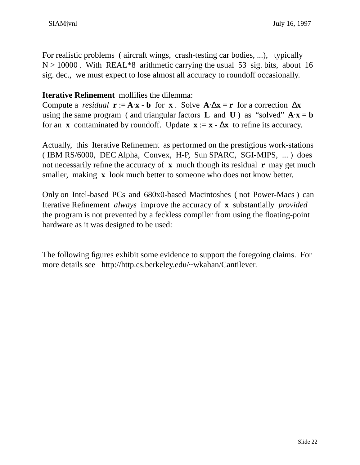For realistic problems ( aircraft wings, crash-testing car bodies, ...), typically  $N > 10000$ . With REAL\*8 arithmetic carrying the usual 53 sig. bits, about 16 sig. dec., we must expect to lose almost all accuracy to roundoff occasionally.

#### **Iterative Refinement** mollifies the dilemma:

Compute a *residual*  $\mathbf{r} := \mathbf{A} \cdot \mathbf{x} - \mathbf{b}$  for **x**. Solve  $\mathbf{A} \cdot \Delta \mathbf{x} = \mathbf{r}$  for a correction  $\Delta \mathbf{x}$ using the same program ( and triangular factors **L** and **U**) as "solved"  $\mathbf{A} \cdot \mathbf{x} = \mathbf{b}$ for an **x** contaminated by roundoff. Update  $\mathbf{x} := \mathbf{x} - \Delta \mathbf{x}$  to refine its accuracy.

Actually, this Iterative Refinement as performed on the prestigious work-stations ( IBM RS/6000, DEC Alpha, Convex, H-P, Sun SPARC, SGI-MIPS, ... ) does not necessarily refine the accuracy of **x** much though its residual **r** may get much smaller, making **x** look much better to some one who does not know better.

Only on Intel-based PCs and 680x0-based Macintoshes ( not Power-Macs ) can Iterative Refinement *always* improve the accuracy of **x** substantially *provided* the program is not prevented by a feckless compiler from using the floating-point hardware as it was designed to be used:

The following figures exhibit some evidence to support the foregoing claims. For more details see http://http.cs.berkeley.edu/~wkahan/Cantilever.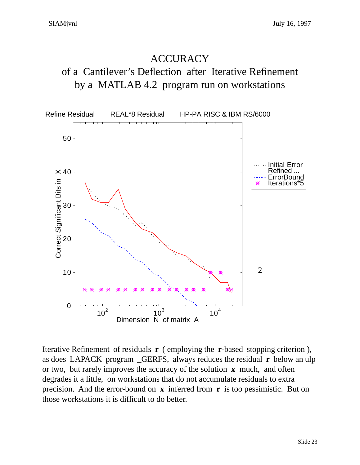# **ACCURACY**

## of a Cantilever's Deflection after Iterative Refinement by a MATLAB 4.2 program run on workstations



Iterative Refinement of residuals **r** ( employing the **r**-based stopping criterion ), as does LAPACK program \_GERFS, always reduces the residual **r** below an ulp or two, but rarely improves the accuracy of the solution **x** much, and often degrades it a little, on workstations that do not accumulate residuals to extra precision. And the error-bound on **x** inferred from **r** is too pessimistic. But on those workstations it is difficult to do better.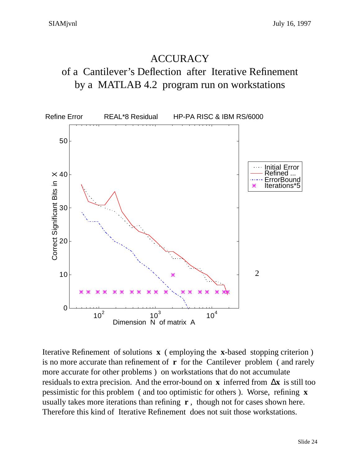# **ACCURACY** of a Cantilever's Deflection after Iterative Refinement by a MATLAB 4.2 program run on workstations



Iterative Refinement of solutions **x** ( employing the **x**-based stopping criterion ) is no more accurate than refinement of **r** for the Cantilever problem ( and rarely more accurate for other problems ) on workstations that do not accumulate residuals to extra precision. And the error-bound on **x** inferred from ∆**x** is still too pessimistic for this problem ( and too optimistic for others ). Worse, refining **x** usually takes more iterations than refining **r** , though not for cases shown here. Therefore this kind of Iterative Refinement does not suit those workstations.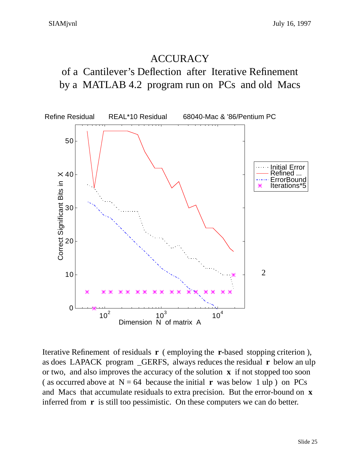### **ACCURACY**

of a Cantilever's Deflection after Iterative Refinement by a MATLAB 4.2 program run on PCs and old Macs



Iterative Refinement of residuals **r** ( employing the **r**-based stopping criterion ), as does LAPACK program \_GERFS, always reduces the residual **r** below an ulp or two, and also improves the accuracy of the solution **x** if not stopped too soon ( as occurred above at  $N = 64$  because the initial **r** was below 1 ulp ) on PCs and Macs that accumulate residuals to extra precision. But the error-bound on **x** inferred from **r** is still too pessimistic. On these computers we can do better.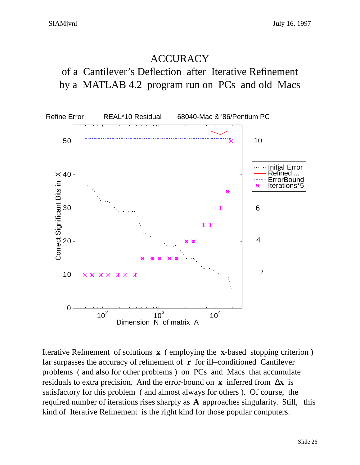### **ACCURACY**

of a Cantilever's Deflection after Iterative Refinement by a MATLAB 4.2 program run on PCs and old Macs



Iterative Refinement of solutions **x** ( employing the **x**-based stopping criterion ) far surpasses the accuracy of refinement of **r** for ill–conditioned Cantilever problems ( and also for other problems ) on PCs and Macs that accumulate residuals to extra precision. And the error-bound on **x** inferred from ∆**x** is satisfactory for this problem ( and almost always for others ). Of course, the required number of iterations rises sharply as **A** approaches singularity. Still, this kind of Iterative Refinement is the right kind for those popular computers.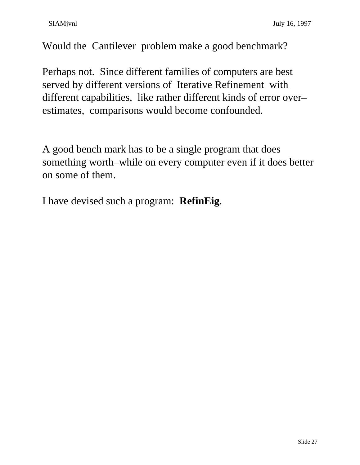Would the Cantilever problem make a good benchmark?

Perhaps not. Since different families of computers are best served by different versions of Iterative Refinement with different capabilities, like rather different kinds of error over– estimates, comparisons would become confounded.

A good bench mark has to be a single program that does something worth–while on every computer even if it does better on some of them.

I have devised such a program: **RefinEig**.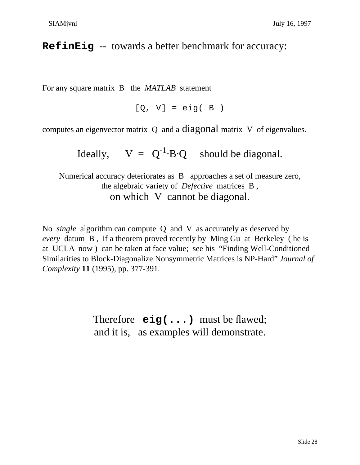### **RefinEig** -- towards a better benchmark for accuracy:

For any square matrix B the *MATLAB* statement

 $[Q, V] = eig(B)$ 

computes an eigenvector matrix Q and a diagonal matrix V of eigenvalues.

Ideally,  $V = Q^{-1} \cdot B \cdot Q$  should be diagonal.

Numerical accuracy deteriorates as B approaches a set of measure zero, the algebraic variety of *Defective* matrices B , on which V cannot be diagonal.

No *single* algorithm can compute Q and V as accurately as deserved by *every* datum B , if a theorem proved recently by Ming Gu at Berkeley ( he is at UCLA now ) can be taken at face value; see his "Finding Well-Conditioned Similarities to Block-Diagonalize Nonsymmetric Matrices is NP-Hard" *Journal of Complexity* **11** (1995), pp. 377-391.

> Therefore **eig(...)** must be flawed; and it is, as examples will demonstrate.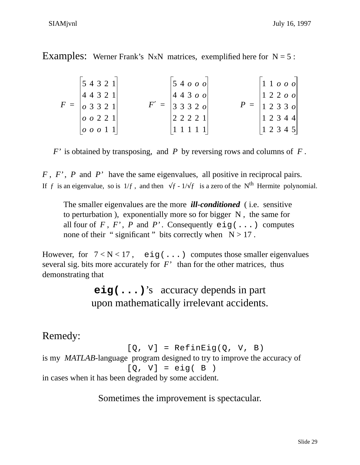Examples: Werner Frank's NxN matrices, exemplified here for  $N = 5$ :

| 12345 | 54321 <br> 44321 <br>$F =  _{\mathcal{O}} 3 3 2 1 $ | $\begin{vmatrix} 5 & 4 & 0 & 0 \\ 0 & 0 & 0 & 0 \\ 0 & 0 & 0 & 0 \\ 0 & 0 & 0 & 0 \\ 0 & 0 & 0 & 0 \\ 0 & 0 & 0 & 0 \\ 0 & 0 & 0 & 0 \\ 0 & 0 & 0 & 0 \\ 0 & 0 & 0 & 0 \\ 0 & 0 & 0 & 0 \\ 0 & 0 & 0 & 0 & 0 \\ 0 & 0 & 0 & 0 & 0 \\ 0 & 0 & 0 & 0 & 0 \\ 0 & 0 & 0 & 0 & 0 & 0 \\ 0 & 0 & 0 & 0 & 0 & 0 \\ 0 & 0 & 0 & 0 & $<br>$\begin{vmatrix} 4 & 4 & 3 & 0 & 0 \end{vmatrix}$<br>$F' =  33320 $ | $P = \begin{bmatrix} 1 & 2 & 3 & 3 & 0 \end{bmatrix}$ | $\left  \begin{smallmatrix} 1 & 1 & 0 & 0 & 0 \end{smallmatrix} \right $<br>$\begin{vmatrix} 1 & 2 & 2 & 0 & 0 \end{vmatrix}$ |  |  |
|-------|-----------------------------------------------------|------------------------------------------------------------------------------------------------------------------------------------------------------------------------------------------------------------------------------------------------------------------------------------------------------------------------------------------------------------------------------------------------------|-------------------------------------------------------|-------------------------------------------------------------------------------------------------------------------------------|--|--|
|       | 00221 <br> 00011                                    | 22221                                                                                                                                                                                                                                                                                                                                                                                                |                                                       | 12344                                                                                                                         |  |  |

*F'* is obtained by transposing, and *P* by reversing rows and columns of *F* .

*F* , *F'* , *P* and *P'* have the same eigenvalues, all positive in reciprocal pairs. If f is an eigenvalue, so is  $1/f$ , and then  $\sqrt{f}$  -  $1/\sqrt{f}$  is a zero of the N<sup>th</sup> Hermite polynomial.

The smaller eigenvalues are the more *ill-conditioned* ( i.e. sensitive to perturbation ), exponentially more so for bigger N , the same for all four of  $F$ ,  $F'$ ,  $P$  and  $P'$ . Consequently  $eig(\ldots)$  computes none of their " significant " bits correctly when  $N > 17$ .

However, for  $7 < N < 17$ , eig(...) computes those smaller eigenvalues several sig. bits more accurately for *F'* than for the other matrices, thus demonstrating that

> **eig(...)**'s accuracy depends in part upon mathematically irrelevant accidents.

# Remedy:

```
[Q, V] = RefinEig(Q, V, B)
is my MATLAB-language program designed to try to improve the accuracy of
                     [Q, V] = eig(B)in cases when it has been degraded by some accident.
```
Sometimes the improvement is spectacular.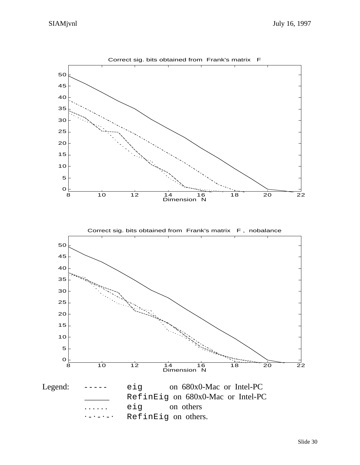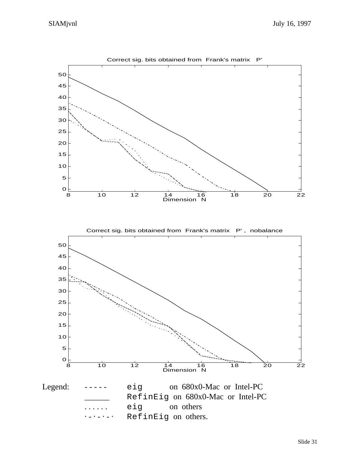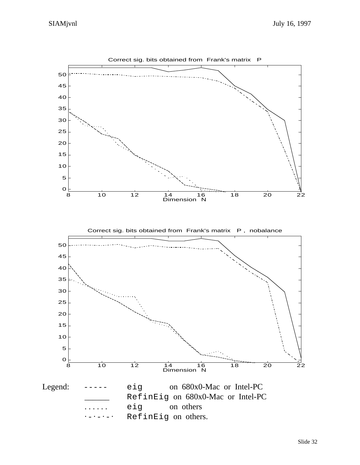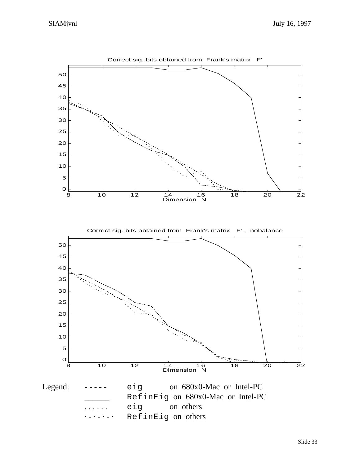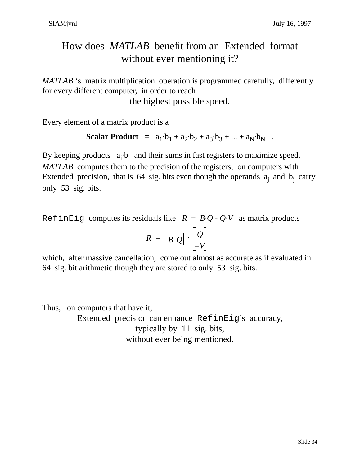# How does *MATLAB* benefit from an Extended format without ever mentioning it?

*MATLAB* 's matrix multiplication operation is programmed carefully, differently for every different computer, in order to reach

the highest possible speed.

Every element of a matrix product is a

Scalar Product = 
$$
a_1 \cdot b_1 + a_2 \cdot b_2 + a_3 \cdot b_3 + ... + a_N \cdot b_N
$$
.

By keeping products  $a_j \cdot b_j$  and their sums in fast registers to maximize speed, *MATLAB* computes them to the precision of the registers; on computers with Extended precision, that is  $64$  sig. bits even though the operands  $a_j$  and  $b_j$  carry only 53 sig. bits.

RefinEig computes its residuals like  $R = B \cdot Q - Q \cdot V$  as matrix products

$$
R = \begin{bmatrix} B & Q \end{bmatrix} \cdot \begin{bmatrix} Q \\ -V \end{bmatrix}
$$

which, after massive cancellation, come out almost as accurate as if evaluated in 64 sig. bit arithmetic though they are stored to only 53 sig. bits.

Thus, on computers that have it, Extended precision can enhance RefinEig's accuracy, typically by 11 sig. bits, without ever being mentioned.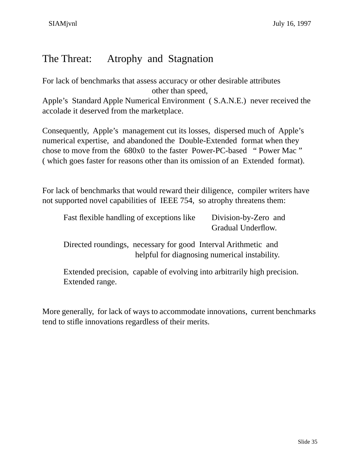## The Threat: Atrophy and Stagnation

For lack of benchmarks that assess accuracy or other desirable attributes other than speed,

Apple's Standard Apple Numerical Environment ( S.A.N.E.) never received the accolade it deserved from the marketplace.

Consequently, Apple's management cut its losses, dispersed much of Apple's numerical expertise, and abandoned the Double-Extended format when they chose to move from the 680x0 to the faster Power-PC-based " Power Mac " ( which goes faster for reasons other than its omission of an Extended format).

For lack of benchmarks that would reward their diligence, compiler writers have not supported novel capabilities of IEEE 754, so atrophy threatens them:

| Fast flexible handling of exceptions like | Division-by-Zero and |
|-------------------------------------------|----------------------|
|                                           | Gradual Underflow.   |

Directed roundings, necessary for good Interval Arithmetic and helpful for diagnosing numerical instability.

Extended precision, capable of evolving into arbitrarily high precision. Extended range.

More generally, for lack of ways to accommodate innovations, current benchmarks tend to stifle innovations regardless of their merits.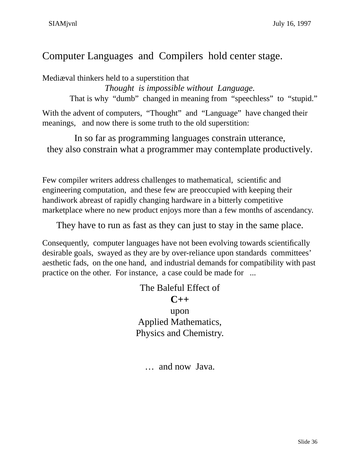### Computer Languages and Compilers hold center stage.

Mediæval thinkers held to a superstition that

*Thought is impossible without Language.*

That is why "dumb" changed in meaning from "speechless" to "stupid."

With the advent of computers, "Thought" and "Language" have changed their meanings, and now there is some truth to the old superstition:

In so far as programming languages constrain utterance, they also constrain what a programmer may contemplate productively.

Few compiler writers address challenges to mathematical, scientific and engineering computation, and these few are preoccupied with keeping their handiwork abreast of rapidly changing hardware in a bitterly competitive marketplace where no new product enjoys more than a few months of ascendancy.

They have to run as fast as they can just to stay in the same place.

Consequently, computer languages have not been evolving towards scientifically desirable goals, swayed as they are by over-reliance upon standards committees' aesthetic fads, on the one hand, and industrial demands for compatibility with past practice on the other. For instance, a case could be made for ...

```
The Baleful Effect of
        C++
        upon
Applied Mathematics,
Physics and Chemistry.
```
… and now Java.